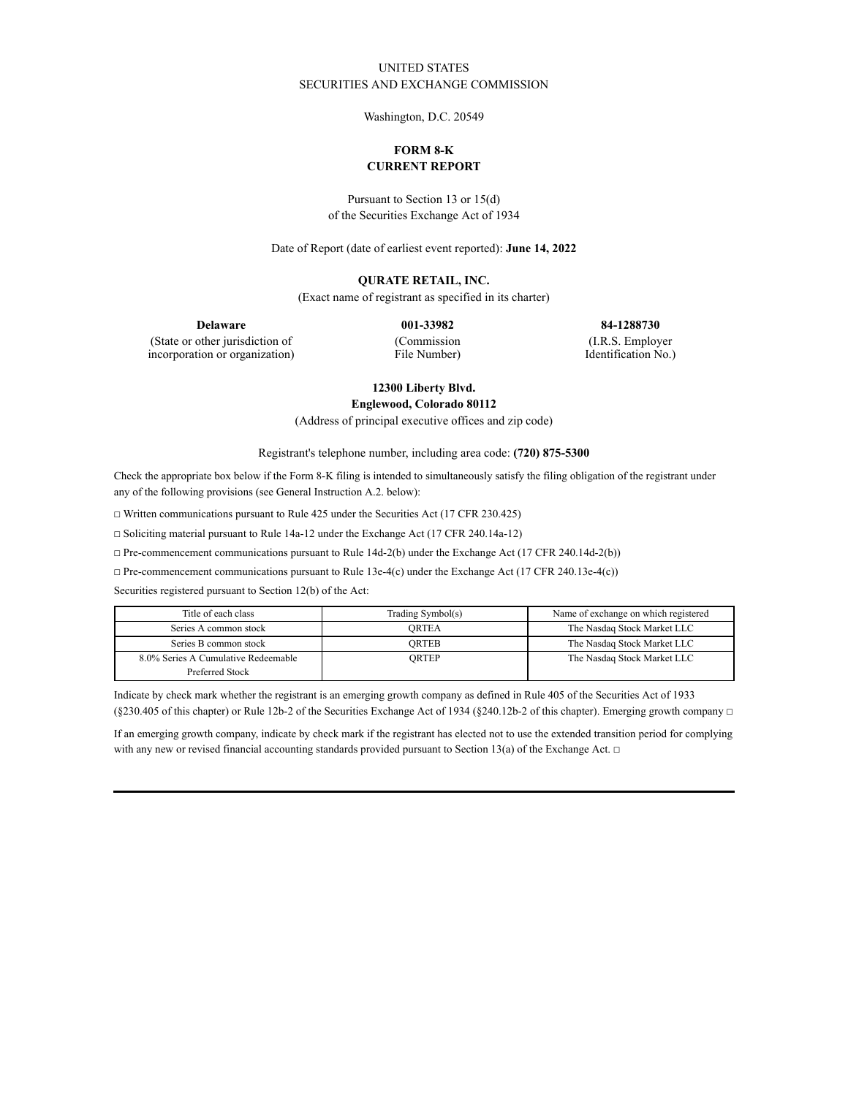## UNITED STATES SECURITIES AND EXCHANGE COMMISSION

Washington, D.C. 20549

## **FORM 8-K CURRENT REPORT**

Pursuant to Section 13 or 15(d) of the Securities Exchange Act of 1934

Date of Report (date of earliest event reported): **June 14, 2022**

### **QURATE RETAIL, INC.**

(Exact name of registrant as specified in its charter)

**Delaware 001-33982 84-1288730** (Commission

(State or other jurisdiction of incorporation or organization)

File Number)

(I.R.S. Employer

Identification No.)

# **12300 Liberty Blvd.**

**Englewood, Colorado 80112**

(Address of principal executive offices and zip code)

Registrant's telephone number, including area code: **(720) 875-5300**

Check the appropriate box below if the Form 8-K filing is intended to simultaneously satisfy the filing obligation of the registrant under any of the following provisions (see General Instruction A.2. below):

☐ Written communications pursuant to Rule 425 under the Securities Act (17 CFR 230.425)

☐ Soliciting material pursuant to Rule 14a-12 under the Exchange Act (17 CFR 240.14a-12)

☐ Pre-commencement communications pursuant to Rule 14d-2(b) under the Exchange Act (17 CFR 240.14d-2(b))

☐ Pre-commencement communications pursuant to Rule 13e-4(c) under the Exchange Act (17 CFR 240.13e-4(c))

Securities registered pursuant to Section 12(b) of the Act:

| Title of each class                 | Trading Symbol(s) | Name of exchange on which registered |
|-------------------------------------|-------------------|--------------------------------------|
| Series A common stock               | <b>ORTEA</b>      | The Nasdaq Stock Market LLC          |
| Series B common stock               | ORTEB             | The Nasdaq Stock Market LLC          |
| 8.0% Series A Cumulative Redeemable | ORTEP             | The Nasdaq Stock Market LLC          |
| Preferred Stock                     |                   |                                      |

Indicate by check mark whether the registrant is an emerging growth company as defined in Rule 405 of the Securities Act of 1933 (§230.405 of this chapter) or Rule 12b-2 of the Securities Exchange Act of 1934 (§240.12b-2 of this chapter). Emerging growth company  $\Box$ 

If an emerging growth company, indicate by check mark if the registrant has elected not to use the extended transition period for complying with any new or revised financial accounting standards provided pursuant to Section 13(a) of the Exchange Act.  $\Box$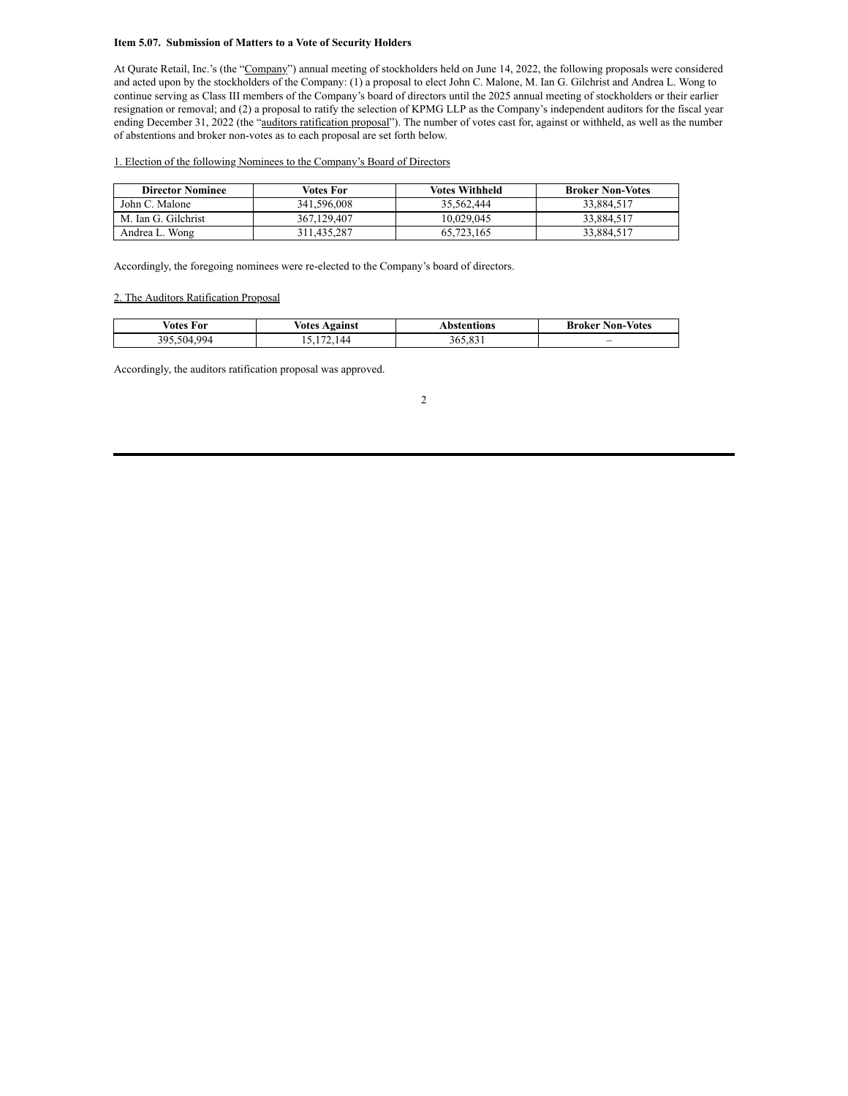#### **Item 5.07. Submission of Matters to a Vote of Security Holders**

At Qurate Retail, Inc.'s (the "Company") annual meeting of stockholders held on June 14, 2022, the following proposals were considered and acted upon by the stockholders of the Company: (1) a proposal to elect John C. Malone, M. Ian G. Gilchrist and Andrea L. Wong to continue serving as Class III members of the Company's board of directors until the 2025 annual meeting of stockholders or their earlier resignation or removal; and (2) a proposal to ratify the selection of KPMG LLP as the Company's independent auditors for the fiscal year ending December 31, 2022 (the "auditors ratification proposal"). The number of votes cast for, against or withheld, as well as the number of abstentions and broker non-votes as to each proposal are set forth below.

#### 1. Election of the following Nominees to the Company's Board of Directors

| <b>Director Nominee</b> | Votes For   | Votes Withheld | <b>Broker Non-Votes</b> |
|-------------------------|-------------|----------------|-------------------------|
| John C. Malone          | 341.596.008 | 35.562.444     | 33.884.517              |
| M. Ian G. Gilchrist     | 367.129.407 | 10.029.045     | 33.884.517              |
| Andrea L. Wong          | 311.435.287 | 65.723.165     | 33.884.517              |

Accordingly, the foregoing nominees were re-elected to the Company's board of directors.

## 2. The Auditors Ratification Proposal

| √otes<br>For               | votes<br><b>\gainst</b> | bstentions.      | <b>Votes</b><br>Broker<br>Non- |
|----------------------------|-------------------------|------------------|--------------------------------|
| 994<br>305<br>504<br>- - - | $\Lambda$               | $\Omega$<br>165. | $\overline{\phantom{a}}$       |

Accordingly, the auditors ratification proposal was approved.